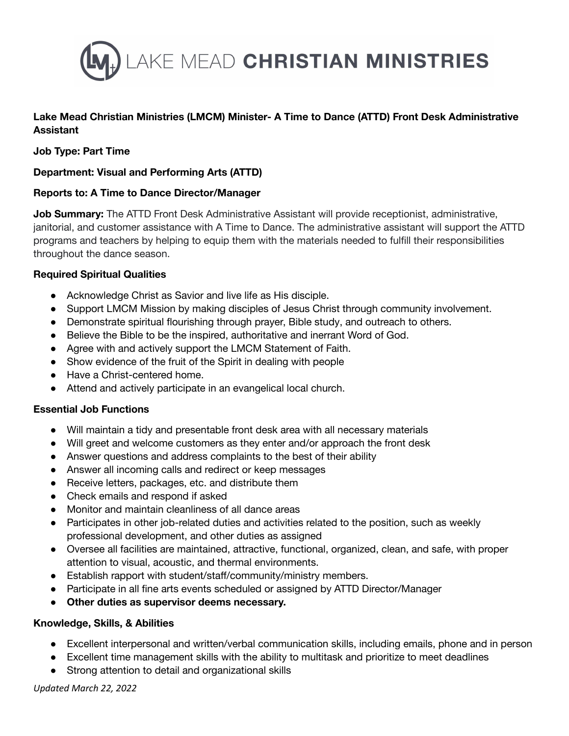

# **Lake Mead Christian Ministries (LMCM) Minister- A Time to Dance (ATTD) Front Desk Administrative Assistant**

## **Job Type: Part Time**

### **Department: Visual and Performing Arts (ATTD)**

#### **Reports to: A Time to Dance Director/Manager**

**Job Summary:** The ATTD Front Desk Administrative Assistant will provide receptionist, administrative, janitorial, and customer assistance with A Time to Dance. The administrative assistant will support the ATTD programs and teachers by helping to equip them with the materials needed to fulfill their responsibilities throughout the dance season.

#### **Required Spiritual Qualities**

- Acknowledge Christ as Savior and live life as His disciple.
- Support LMCM Mission by making disciples of Jesus Christ through community involvement.
- Demonstrate spiritual flourishing through prayer, Bible study, and outreach to others.
- Believe the Bible to be the inspired, authoritative and inerrant Word of God.
- Agree with and actively support the LMCM Statement of Faith.
- Show evidence of the fruit of the Spirit in dealing with people
- Have a Christ-centered home.
- Attend and actively participate in an evangelical local church.

#### **Essential Job Functions**

- Will maintain a tidy and presentable front desk area with all necessary materials
- Will greet and welcome customers as they enter and/or approach the front desk
- Answer questions and address complaints to the best of their ability
- Answer all incoming calls and redirect or keep messages
- Receive letters, packages, etc. and distribute them
- Check emails and respond if asked
- Monitor and maintain cleanliness of all dance areas
- Participates in other job-related duties and activities related to the position, such as weekly professional development, and other duties as assigned
- Oversee all facilities are maintained, attractive, functional, organized, clean, and safe, with proper attention to visual, acoustic, and thermal environments.
- Establish rapport with student/staff/community/ministry members.
- Participate in all fine arts events scheduled or assigned by ATTD Director/Manager
- **Other duties as supervisor deems necessary.**

#### **Knowledge, Skills, & Abilities**

- Excellent interpersonal and written/verbal communication skills, including emails, phone and in person
- Excellent time management skills with the ability to multitask and prioritize to meet deadlines
- Strong attention to detail and organizational skills